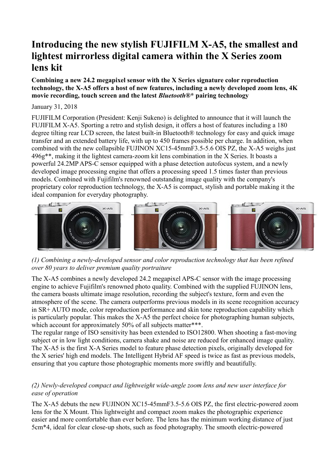# **Introducing the new stylish FUJIFILM X-A5, the smallest and lightest mirrorless digital camera within the X Series zoom lens kit**

**Combining a new 24.2 megapixel sensor with the X Series signature color reproduction technology, the X-A5 offers a host of new features, including a newly developed zoom lens, 4K movie recording, touch screen and the latest** *Bluetooth***®\* pairing technology**

#### January 31, 2018

FUJIFILM Corporation (President: Kenji Sukeno) is delighted to announce that it will launch the FUJIFILM X-A5. Sporting a retro and stylish design, it offers a host of features including a 180 degree tilting rear LCD screen, the latest built-in Bluetooth® technology for easy and quick image transfer and an extended battery life, with up to 450 frames possible per charge. In addition, when combined with the new collapsible FUJINON XC15-45mmF3.5-5.6 OIS PZ, the X-A5 weighs just 496g\*\*, making it the lightest camera-zoom kit lens combination in the X Series. It boasts a powerful 24.2MP APS-C sensor equipped with a phase detection autofocus system, and a newly developed image processing engine that offers a processing speed 1.5 times faster than previous models. Combined with Fujifilm's renowned outstanding image quality with the company's proprietary color reproduction technology, the X-A5 is compact, stylish and portable making it the ideal companion for everyday photography.



*(1) Combining a newly-developed sensor and color reproduction technology that has been refined over 80 years to deliver premium quality portraiture*

The X-A5 combines a newly developed 24.2 megapixel APS-C sensor with the image processing engine to achieve Fujifilm's renowned photo quality. Combined with the supplied FUJINON lens, the camera boasts ultimate image resolution, recording the subject's texture, form and even the atmosphere of the scene. The camera outperforms previous models in its scene recognition accuracy in SR+ AUTO mode, color reproduction performance and skin tone reproduction capability which is particularly popular. This makes the X-A5 the perfect choice for photographing human subjects, which account for approximately 50% of all subjects matter\*\*\*.

The regular range of ISO sensitivity has been extended to ISO12800. When shooting a fast-moving subject or in low light conditions, camera shake and noise are reduced for enhanced image quality. The X-A5 is the first X-A Series model to feature phase detection pixels, originally developed for the X series' high end models. The Intelligent Hybrid AF speed is twice as fast as previous models, ensuring that you capture those photographic moments more swiftly and beautifully.

### *(2) Newly-developed compact and lightweight wide-angle zoom lens and new user interface for ease of operation*

The X-A5 debuts the new FUJINON XC15-45mmF3.5-5.6 OIS PZ, the first electric-powered zoom lens for the X Mount. This lightweight and compact zoom makes the photographic experience easier and more comfortable than ever before. The lens has the minimum working distance of just 5cm\*4, ideal for clear close-up shots, such as food photography. The smooth electric-powered